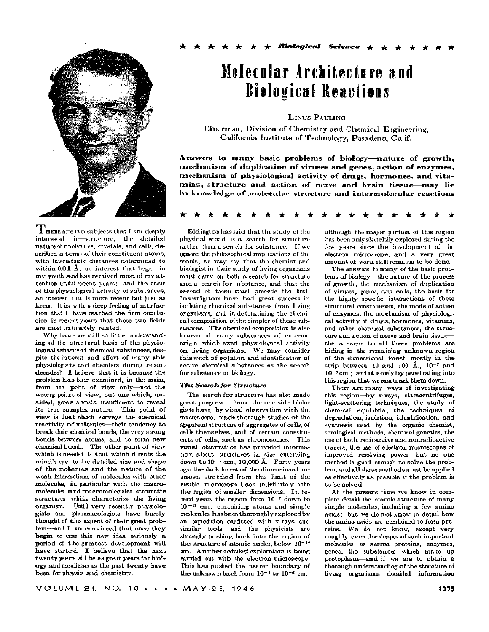

REER are two subjects that I am deeply interested in-structure, the detailed nature of molecules, crystals, and cells, described in terms of their constituent atoms. with interactomic distances determined to within  $0.01 \text{ Å}$ , an interest that began in my youth and has received most of my attention until recent years; and the basis of the physiological activity of substances, an interest, that is more recent but just as keen. It is with a deep feeling of satisfaction that I have reached the firm conclusion in recent years that these two fields are most in timately related.

Why have we still so little understanding of the structural basis of the physiological activity of chemical substances, despite the interest and effort of many able physiologists and chemists during recent decades? I believe that it is because the problem has been examined, in the main, from one point of view only-not the wrong point of view, but one which, unaided, gives a vista insufficient to reveal its true complex nature. This point of view is that which surveys the chemical reactivity of molecules-their tendency to break their chemical bonds, the very strong bonds between atoms, and to form new chemical bonds. The other point of view which is needed is that which directs the mind's eye to the detailed size and shape of the molecules and the nature of the weak interactions of molecules with other molecules, in particular with the macromolecules and macromolecular stromatic structures which characterize the living organism. Until very recently physiologists and pharmacologists have barely thought of this aspect of their great problem-and I am convinced that once they begin to use this new idea seriously a period of the greatest development will have started. I believe that the next twenty years will be as great years for biology and medicine as the past twenty have been for physics and chemistry.

# Melecular Architecture and **Biological Reactions**

LINUS PAULING

Chairman, Division of Chemistry and Chemical Engineering, California Institute of Technology, Pasadena, Calif.

Answers to many basic problems of biology--nature of growth, mechanism of duplication of viruses and genes, action of enzymes, mechanism of physiological activity of drugs, hormones, and vitamins, structure and action of nerve and brain tissue-may lie in knowledge of molecular structure and intermolecular reactions

Eddington has said that the study of the physical world is a search for structure rather than a search for substance. If we ignore the philosophical implications of the words, we may say that the chemist and biologist in their study of living organisms must carry on both a search for structure and a search for substance, and that the second of these must precede the first. Investigators have had great success in isolating chemical substances from living organisms, and in determining the chemical composition of the simpler of these substances. The chemical composition is also known of many substances of external origin which exert physiological activity on living organisms. We may consider this work of isolation and identification of active chemical substances as the search for substance in biology.

### **The Search for Structure**

The search for structure has also made great progress. From the one side biologists have, by visual observation with the microscope, made thorough studies of the apparent structure of aggregates of cells, of cells themselves, and of certain constituents of cells, such as chromosomes. This visual observation has provided information about structures in size extending down to  $10^{-4}$  cm., 10,000 Å. Forty years ago the dark forest of the dimensional unknown stretched from this limit of the visible microscope Lack indefinitely into the region of smaller dimensions. In recent years the region from 10<sup>-7</sup> down to  $10^{-12}$  cm., containing atoms and simple molecules, has been thoroughly explored by an expedition outfitted with x-ravs and similar tools, and the physicists are strongly pushing back into the region of the structure of atomic nuclei, below 10<sup>-12</sup> cm. Another detailed exploration is being carried out with the electron microscope. This has pushed the nearer boundary of the unknown back from  $10^{-4}$  to  $10^{-6}$  cm.

although the major portion of this region has been only sketchily explored during the few years since the development of the electron microscope, and a very great amount of work still remains to be done.

The answers to many of the basic problems of biology—the nature of the process of growth, the mechanism of duplication of viruses, genes, and cells, the basis for the highly specific interactions of these structural constituents, the mode of action of enzymes, the mechanism of physiological activity of drugs, hormones, vitamins, and other chemical substances, the structure and action of nerve and brain tissuethe answers to all these problems are hiding in the remaining unknown region of the dimensional forest, mostly in the strip between 10 and 100  $\AA$ ., 10<sup>-7</sup> and  $10^{-6}$  cm.; and it is only by penetrating into this region that we can track them down.

There are many ways of investigating this region-by x-rays, ultracentrifuges, light-scattering techniques, the study of chemical equilibria, the techniques of degradation, isolation, identification, and synthesis used by the organic chemist, serological methods, chemical genetics, the use of both radioactive and nonradioactive tracers, the use of electron microscopes of improved resolving power-but no one method is good enough to solve the problem, and all these methods must be applied as effectively as possible if the problem is to be solved.

At the present time we know in complete detail the atomic structure of many simple molecules, including a few amino acids; but we do not know in detail how the amino acids are combined to form proteins. We do not know, except very roughly, even the shapes of such important molecules as serum proteins, enzymes, genes, the substances which make up protoplasm-and if we are to obtain a thorough understanding of the structure of living organisms detailed information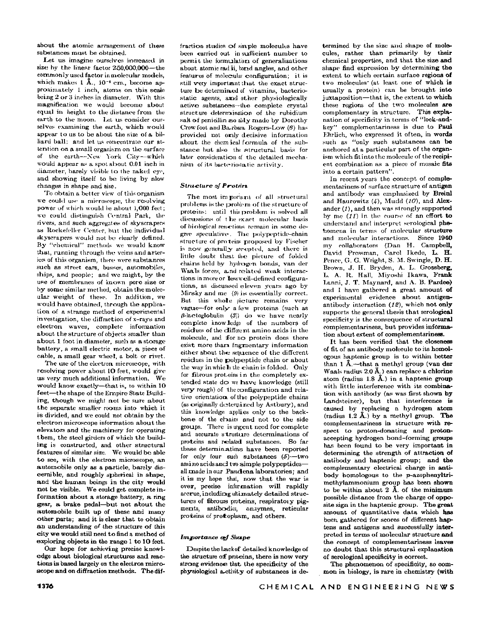**about the atomic arrangement of these substances must be obtained.** 

**Let us imagine ourselves increased in size by the linear factor 250,000,000—the commonly used factor in molecular models, which makes 1 Α., 10"<sup>8</sup> cm., become approximately 1 inch, atoms on this scale being 2 or 3 inches in diameter. With this magnification we would become about equal in height to the distance from the earth to the moon. Let us consider ourselves examining the earth, which would appear to us to be about the size of a billiard ball; and let us concentrate our attention on a small organism on the surface of the earth—New York City—which would appear as a spot about 0.01 inch in**  diameter, barely visible to the naked eye, **and showing itself to be living by slow changes in shape and size.** 

**To obtain a better view of this organism we could use a microscope, the resolving power of which would be about 1,000 feet ; we could distinguish Central Park, the rivers, and such aggregates of skyscrapers as Rockefeller Center, but the individual skyscrapers would not be clearly defined. By "chemical" methods we would know that, running through the veins and arteries of this organism, there were substances such as street cars, busses, automobiles, ships, and people; and we might, by the use of membranes of known pore size or by some similar method, obtain the molecular weight of these. In addition, we would have obtained, through the application of a strange method of experimental investigation, the diffraction of x-rays and electron waves, complete information about the structure of objects smaller than about 1 foot in diameter, such as a storage battery, a small electric motor, a piece of cable, a small gear wheel, a bolt or rivet.** 

**The use of the electron microscope, with**  resolving power about 10 feet, would give **us very much additional information- We would know exactly—that is, to within 10 feet—the shape of the Empire State Building, though we might not be sure about the separate smaller rooms into which it is divided, and we could not obtain by the electron microscope information about the elevators and the machinery for operating them, the steel girders of which the building is constructed, and other structural features of similar size. We would be able t o see, with the electron microscope, an automobile only as a particle, barely discernible, and roughly spherical in shape, and the human beings in the city would not be visible. We could get complete information about a storage battery, a ring gear, a brake pedal—but not about the automobile built up of these and many other parts; and it is clear that to obtain an understanding of the structure of this city we would still need t o find a method of**  exploring objects in the range 1 to 10 feet.

**Our hope for achieving precise knowledge about biological structures and reactions is based largely on the electron microscope and on diffraction methods. The dif-** **fraction studies of simple molecules have been carried out in sufficient number to**  permit the formulation of generalizations **about atomic rad ii, bond angles, and other features of molecular configuration ; it is still very important that the exact struc**ture be determined of vitamins, bacterio**static agents, amd other physiologically active substances—the complete crystal structure détermination of the rubidium**  salt of penicillin so ably made by Dorothy **Crowfoot and Ba-rbara Rogers-Low** *(6)* **has provided not only decisive information about the chemical formula of the substance but also the structural basis for later consideration of the detailed mechanism of its bacteriostatic activity.** 

## *Structure oj Protein,*

The most important of all structural **problems is the problem of the structure of proteins: until this problem is solved all discussions of t he exact molecular basis of biological reactions remain in some degree speculative. The polypeptide-chain structure of proteins proposed by Fischer is now generally accepted, and there is little doubt that the picture of folded chains held by hydrogen bonds, van der Waals forces, a,nd related weak interactions in more or less well-defined configurations, as discus>sed eleven years ago by Mirsky and me** *(9)* **is essentially correct. But this whole picture remains very vague—for only a few proteins (such as /3-lactoglobulin** *(3))* **do we have nearly complete knowledge of the numbers of residues of the different amino acids in the**  molecule, and for no protein does there **exist more than fragmentary information either about the sequence of the different residues in the polypeptide chain or about the way in whic li the chain is folded. Only for fibrous proteins in the completely ex**tended state do we have knowledge (still **very rough) of the configuration and rela**tive orientation of the polypeptide chains **(as originally determined by Astbury), and this knowledge applies only to the back**bone of the chains and not to the side **groups. There is urgent need for complete and accurate structure determinations of proteins and related substances. So far these determinations have been reported for only four such substances (5)—two amino acids anc3 two simple polypeptides all made in our Pasadena laboratories; and it is my hope that, now that the war is over, precise information will rapidly accrue, including ultimately detailed structures of fibrous proteins, respiratoiy pigments, antibodies, enzymes, reticular proteins of protoplasm, and others.** 

## *Importance of Shape*

**Despite the Lack of detailed knowledge of the structure o£ proteins, there is now very strong evidence that the specificity of the physiological activity of substances is de-** **termined by the size and shape of molecules, rather than primarily by their chemical properties, and that the size and shape find expression by determining the extent to which certain surface regions of two molecules\* (at least one of which is usually a protein) can be brought into j uxtaposition—that is, the extent to which these regions of the two molecules are complementary in structure. This explanation of specificity in terms of "lock-andkey" complementariness is due to Paul Ehrlich, who expressed it often, in words such as "only such substances can be anchored at a particular part of the organism which fit into the molecule of the recipient combination as a piece of mosaic fits into a certain pattern".** 

**In recent years the concept of complementariness of surface structure of antigen and antibody was emphasized by Breinl and Haurowitz (4), Mudd** *(10),* **and Alexander** *(1),* **and then was strongly supported**  by me (11) in the course of an effort to **understand and interpret serological phenomena in terms of molecular structure and molecular interactions. Since 1940 my collaborators (Dan H. CampbeU, David Pressman, Carol Ikede, L. H. Pence, G. G. Wright, S. M. Swingle, D. H. Brown, J. H. Bryden, A. L. Grossberg, L. A. R. Hall, Miyoshi Ikawa, Frank Lanni, J. T. Maynard, and A. B. Pardee) and I have gathered a great amount of experimental evidence about antigenantibody interaction** *(12),* **which not only supports the general thesis that serological specificity is the consequence of structural complementariness, but provides information about extent of complementariness.** 

**It has been verified that the closeness of fit of an antibody molecule to its homologous haptenic group is to within better than 1 Â.—that a methyl group (van der Waals radius 2.0 A.) can replace a chlorine atom (radius 1.8 Â.) in a haptenic group with little interference with its combination with antibody (as was first shown by Landsteiner), but that interference is caused by replacing a hydrogen atom (radius 1.2 Â.) by a methyl group. The complementariness in structure with respect to proton-donating and protonaccepting hydrogen bond-forming groups has been found to be very important in determining the strength of attraction of antibody and haptenic group; and the complementary electrical charge in antibody homologous to the p-azophenyltrimethylammonium group has been shown to be within about 2 Â. of the minimum possible distance from the charge of opposite sign in the haptenic group. The great amount of quantitative data which has been gathered for scores of different haptens and antigens and successfully interpreted in terms of molecular structure and the concept of complementariness leaves no doubt that this structural explanation of serological specificity is correct.** 

**The phenomenon of specificity, so common in biology, is rare in chemistry (with**